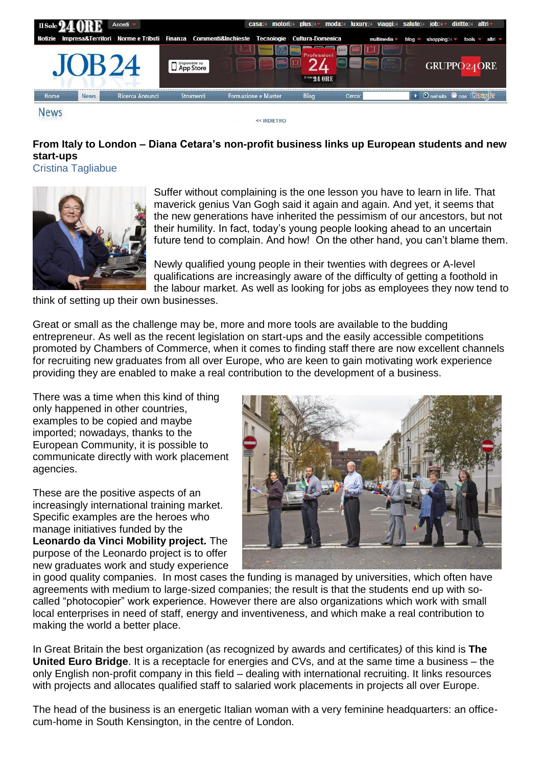

## **From Italy to London – Diana Cetara's non-profit business links up European students and new start-ups**

Cristina Tagliabue



Suffer without complaining is the one lesson you have to learn in life. That maverick genius Van Gogh said it again and again. And yet, it seems that the new generations have inherited the pessimism of our ancestors, but not their humility. In fact, today's young people looking ahead to an uncertain future tend to complain. And how! On the other hand, you can't blame them.

Newly qualified young people in their twenties with degrees or A-level qualifications are increasingly aware of the difficulty of getting a foothold in the labour market. As well as looking for jobs as employees they now tend to

think of setting up their own businesses.

Great or small as the challenge may be, more and more tools are available to the budding entrepreneur. As well as the recent legislation on start-ups and the easily accessible competitions promoted by Chambers of Commerce, when it comes to finding staff there are now excellent channels for recruiting new graduates from all over Europe, who are keen to gain motivating work experience providing they are enabled to make a real contribution to the development of a business.

There was a time when this kind of thing only happened in other countries, examples to be copied and maybe imported; nowadays, thanks to the European Community, it is possible to communicate directly with work placement agencies.

These are the positive aspects of an increasingly international training market. Specific examples are the heroes who manage initiatives funded by the **Leonardo da Vinci Mobility project.** The purpose of the Leonardo project is to offer new graduates work and study experience



in good quality companies. In most cases the funding is managed by universities, which often have agreements with medium to large-sized companies; the result is that the students end up with socalled "photocopier" work experience. However there are also organizations which work with small local enterprises in need of staff, energy and inventiveness, and which make a real contribution to making the world a better place.

In Great Britain the best organization (as recognized by awards and certificates*)* of this kind is **The United Euro Bridge**. It is a receptacle for energies and CVs, and at the same time a business – the only English non-profit company in this field – dealing with international recruiting. It links resources with projects and allocates qualified staff to salaried work placements in projects all over Europe.

The head of the business is an energetic Italian woman with a very feminine headquarters: an officecum-home in South Kensington, in the centre of London.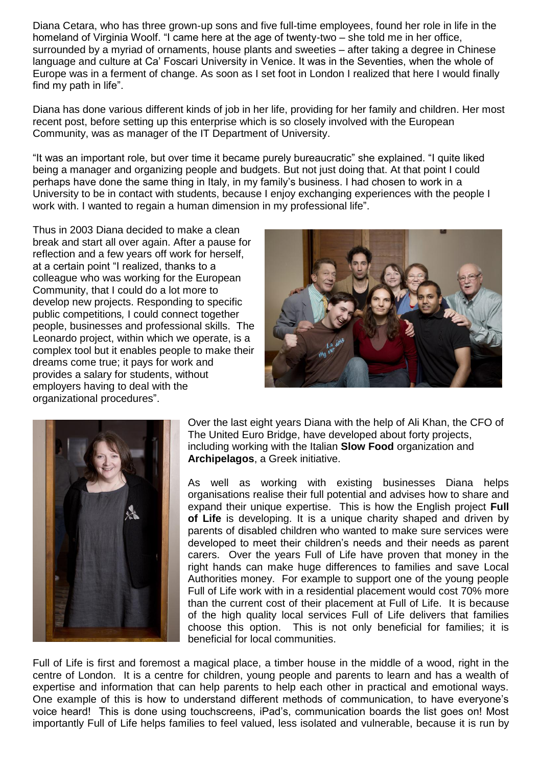Diana Cetara, who has three grown-up sons and five full-time employees, found her role in life in the homeland of Virginia Woolf. "I came here at the age of twenty-two – she told me in her office, surrounded by a myriad of ornaments, house plants and sweeties – after taking a degree in Chinese language and culture at Ca' Foscari University in Venice. It was in the Seventies, when the whole of Europe was in a ferment of change. As soon as I set foot in London I realized that here I would finally find my path in life".

Diana has done various different kinds of job in her life, providing for her family and children. Her most recent post, before setting up this enterprise which is so closely involved with the European Community, was as manager of the IT Department of University.

"It was an important role, but over time it became purely bureaucratic" she explained. "I quite liked being a manager and organizing people and budgets. But not just doing that. At that point I could perhaps have done the same thing in Italy, in my family's business. I had chosen to work in a University to be in contact with students, because I enjoy exchanging experiences with the people I work with. I wanted to regain a human dimension in my professional life".

Thus in 2003 Diana decided to make a clean break and start all over again. After a pause for reflection and a few years off work for herself, at a certain point "I realized, thanks to a colleague who was working for the European Community, that I could do a lot more to develop new projects. Responding to specific public competitions*,* I could connect together people, businesses and professional skills. The Leonardo project, within which we operate, is a complex tool but it enables people to make their dreams come true; it pays for work and provides a salary for students, without employers having to deal with the organizational procedures".





Over the last eight years Diana with the help of Ali Khan, the CFO of The United Euro Bridge, have developed about forty projects, including working with the Italian **Slow Food** organization and **Archipelagos**, a Greek initiative.

As well as working with existing businesses Diana helps organisations realise their full potential and advises how to share and expand their unique expertise. This is how the English project **Full of Life** is developing. It is a unique charity shaped and driven by parents of disabled children who wanted to make sure services were developed to meet their children's needs and their needs as parent carers. Over the years Full of Life have proven that money in the right hands can make huge differences to families and save Local Authorities money. For example to support one of the young people Full of Life work with in a residential placement would cost 70% more than the current cost of their placement at Full of Life. It is because of the high quality local services Full of Life delivers that families choose this option. This is not only beneficial for families; it is beneficial for local communities.

Full of Life is first and foremost a magical place, a timber house in the middle of a wood, right in the centre of London. It is a centre for children, young people and parents to learn and has a wealth of expertise and information that can help parents to help each other in practical and emotional ways. One example of this is how to understand different methods of communication, to have everyone's voice heard! This is done using touchscreens, iPad's, communication boards the list goes on! Most importantly Full of Life helps families to feel valued, less isolated and vulnerable, because it is run by